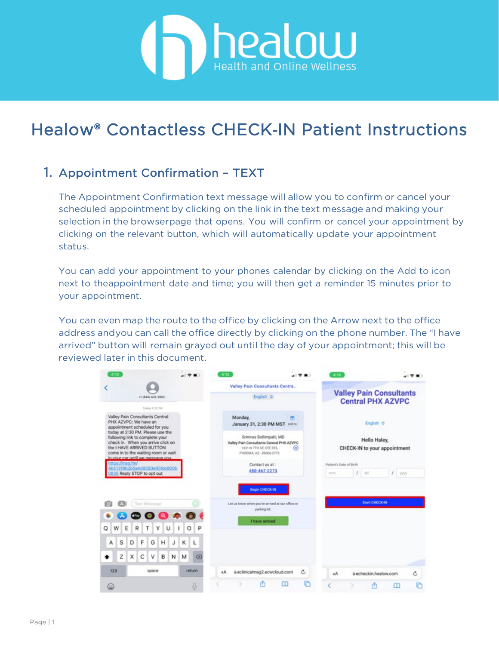# **COLOU Health and Online Wellness**

# Healow® Contactless CHECK‐IN Patient Instructions

#### 1. Appointment Confirmation – TEXT

The Appointment Confirmation text message will allow you to confirm or cancel your scheduled appointment by clicking on the link in the text message and making your selection in the browserpage that opens. You will confirm or cancel your appointment by clicking on the relevant button, which will automatically update your appointment status.

You can add your appointment to your phones calendar by clicking on the Add to icon next to theappointment date and time; you will then get a reminder 15 minutes prior to your appointment.

You can even map the route to the office by clicking on the Arrow next to the office address andyou can call the office directly by clicking on the phone number. The "I have arrived" button will remain grayed out until the day of your appointment; this will be reviewed later in this document.

| $4 - 13$                                                                                                                                                                        |         |              | 4:13                                                |                                                                                    |              | 4:14                    |                                                            |          |
|---------------------------------------------------------------------------------------------------------------------------------------------------------------------------------|---------|--------------|-----------------------------------------------------|------------------------------------------------------------------------------------|--------------|-------------------------|------------------------------------------------------------|----------|
|                                                                                                                                                                                 |         |              |                                                     | Valley Pain Consultants Centra                                                     |              |                         |                                                            |          |
| +1.18441 432-5660                                                                                                                                                               |         |              |                                                     | English O                                                                          |              |                         | <b>Valley Pain Consultants</b><br><b>Central PHX AZVPC</b> |          |
| Today ATLINE                                                                                                                                                                    |         |              |                                                     |                                                                                    |              |                         |                                                            |          |
| Valley Pain Consultants Central<br>PHX AZVPC: We have an<br>appointment scheduled for you<br>today at 2:30 PM. Please use the                                                   |         |              | Monday,                                             | 面<br>January 31, 2:30 PM MST Assite                                                |              |                         | English O                                                  |          |
| following link to complete your<br>check in. When you arrive click on<br>the I HAVE ARRIVED BUTTON<br>come in to the waiting room or wait.<br>in your car until we message you. |         |              | 1331 N 7TH ST, STE 355.<br>PHOENIX, AZ - 85006-2772 | Srinivas Bollimpalli, MD<br>Valley Pain Consultants Central PHX AZVPC<br>⊛         |              |                         | Hello Haley,<br>CHECK-IN to your appointment               |          |
| https://msg.fm/                                                                                                                                                                 |         |              |                                                     | Contact us at:                                                                     |              | Patient's Date of Birth |                                                            |          |
| 4b51319b2b5a4d8583e95fdc800b<br>0835 Reply STOP to opt out                                                                                                                      |         |              |                                                     | 480-467-2273                                                                       | <b>PENTS</b> |                         | dd                                                         | $I$ yyyy |
| Tinct Message<br>ю                                                                                                                                                              |         |              |                                                     | Begin CHECK-IN<br>Let us know when you've arrived at our office or<br>parking lot. |              |                         | <b>Start CHECK-IN</b>                                      |          |
| $\begin{array}{ccc} \circ & \circ & \circ & \circ \end{array}$                                                                                                                  |         |              |                                                     |                                                                                    |              |                         |                                                            |          |
| W<br>Ε<br>R<br>т<br>Q                                                                                                                                                           | Y.<br>U | P<br>O       |                                                     | I have arrived                                                                     |              |                         |                                                            |          |
| F<br>G<br>S<br>D<br>А                                                                                                                                                           | н<br>J  | κ<br>L       |                                                     |                                                                                    |              |                         |                                                            |          |
| Z<br>C<br>X<br>v                                                                                                                                                                | B<br>N  | M<br>ख़      |                                                     |                                                                                    |              |                         |                                                            |          |
| 123<br>space                                                                                                                                                                    |         | return.      | AA.                                                 | @eclinicalmsg2.ecwcloud.com                                                        | Ċ<br>AA.     |                         | ii echeckin.healow.com                                     | Ć        |
| ۵                                                                                                                                                                               |         | $\mathbb{Q}$ |                                                     | ◫                                                                                  | r            |                         |                                                            | r<br>⅏   |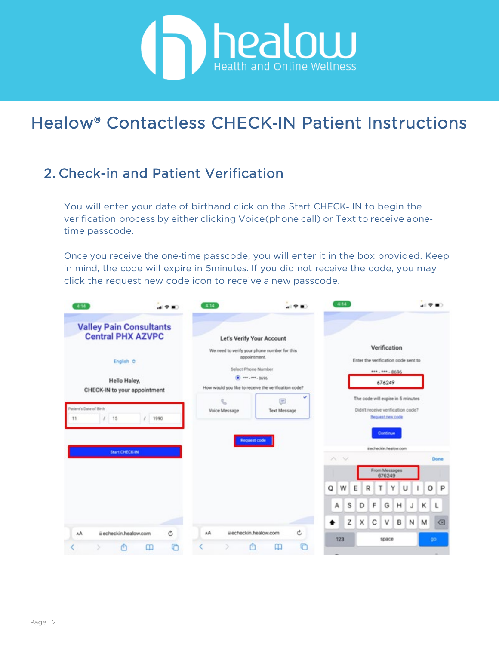

#### 2. Check-in and Patient Verification

You will enter your date of birthand click on the Start CHECK‐ IN to begin the verification process by either clicking Voice(phone call) or Text to receive aone‐ time passcode.

Once you receive the one-time passcode, you will enter it in the box provided. Keep in mind, the code will expire in 5minutes. If you did not receive the code, you may click the request new code icon to receive a new passcode.

| 4:14                                                       |        | 4:14          | $= 9$                                                                               | 4:14                  |                                                                                            |              |
|------------------------------------------------------------|--------|---------------|-------------------------------------------------------------------------------------|-----------------------|--------------------------------------------------------------------------------------------|--------------|
| <b>Valley Pain Consultants</b><br><b>Central PHX AZVPC</b> |        |               | Let's Verify Your Account                                                           |                       |                                                                                            |              |
| English O                                                  |        |               | We need to verify your phone number for this<br>appointment.<br>Select Phone Number |                       | Verification<br>Enter the verification code sent to<br>***. *** - 8696                     |              |
| Hello Haley,<br>CHECK-IN to your appointment               |        |               | $(a)$ ===, ===, 3696<br>How would you like to receive the verification code?        |                       | 676249                                                                                     |              |
| Patient's Date of Birth<br>15<br>ı<br>11<br>r.             | 1990   | Voice Message | v<br>⊜<br><b>Text Message</b>                                                       |                       | The code will expire in 5 minutes<br>Didn't receive verification code?<br>Request new code |              |
|                                                            |        |               | <b>Request code</b>                                                                 |                       | Continue<br>ii echeckin.healow.com                                                         |              |
| <b>Start CHECK-IN</b>                                      |        |               |                                                                                     | $\sim$ $\vee$         |                                                                                            | Done         |
|                                                            |        |               |                                                                                     |                       | From Messages<br>676249                                                                    |              |
|                                                            |        |               |                                                                                     | W<br>Ε<br>O<br>R<br>т | Υ<br>U                                                                                     | O<br>P       |
|                                                            |        |               |                                                                                     | s<br>F<br>D<br>А      | G<br>н<br>J                                                                                | к<br>L       |
|                                                            |        |               |                                                                                     | Z<br>с<br>х<br>٠      | v<br>B<br>Ν                                                                                | $\circ$<br>M |
| ii echeckin.healow.com<br>AA<br>Φ<br>⊞                     | Ċ<br>G | AA            | Ċ<br>ii echeckin.healow.com<br>G<br>₾<br>m                                          | 123                   | space                                                                                      | go           |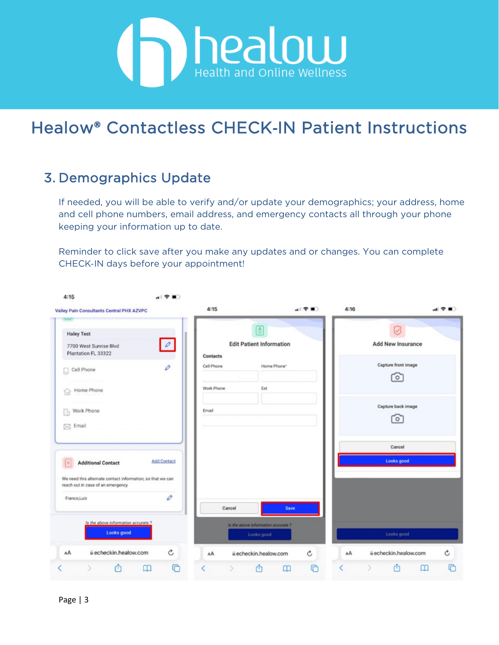

#### 3. Demographics Update

If needed, you will be able to verify and/or update your demographics; your address, home and cell phone numbers, email address, and emergency contacts all through your phone keeping your information up to date.

Reminder to click save after you make any updates and or changes. You can complete CHECK‐IN days before your appointment!

| Valley Pain Consultants Central PHX AZVPC<br>$\leftarrow$                                       |                    | 4:15       | al?■〉                                            | 4:16 | al 全 ■○                     |
|-------------------------------------------------------------------------------------------------|--------------------|------------|--------------------------------------------------|------|-----------------------------|
| <b>Haley Test</b>                                                                               |                    |            | ▤                                                |      |                             |
| 7700 West Sunrise Blvd<br>Plantation FL 33322                                                   | $\phi$             | Contacts   | <b>Edit Patient Information</b>                  |      | Add New Insurance           |
| Cell Phone<br>u                                                                                 | 0                  | Cell Phone | Home Phone*                                      |      | Capture front image         |
|                                                                                                 |                    | Work Phone | Ext                                              |      | ି                           |
| Home Phone<br>fnì                                                                               |                    |            |                                                  |      | Capture back image          |
| Work Phone                                                                                      |                    | Email      |                                                  |      | ГоГ                         |
| $\boxtimes$ Email                                                                               |                    |            |                                                  |      |                             |
|                                                                                                 |                    |            |                                                  |      | Cancel                      |
| <b>Additional Contact</b><br>A                                                                  | <b>Add Contact</b> |            |                                                  |      | Looks good                  |
| We need this alternate contact information, so that we can<br>reach out in case of an emergency |                    |            |                                                  |      |                             |
| Franco,Luiz                                                                                     | O                  |            |                                                  |      |                             |
|                                                                                                 |                    | Cancel     | Save                                             |      |                             |
| Is the above information accurate?<br>Looks good                                                |                    |            | is the above information accurate?<br>Looks good |      | Looks good                  |
| AA<br>ii echeckin.healow.com                                                                    | Ċ                  | AA         | Ċ<br>ii echeckin.healow.com                      | AA   | Ċ<br>ii echeckin.healow.com |
| Ŵ                                                                                               | G<br>m             |            | G<br>m<br>m                                      |      | m<br>◫                      |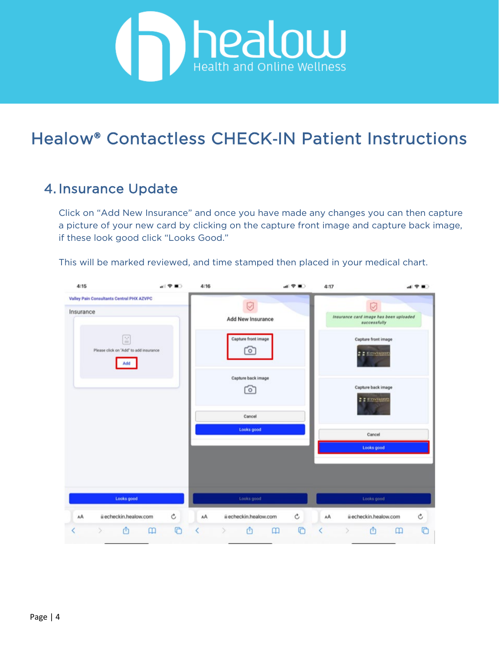

#### 4. Insurance Update

Click on "Add New Insurance" and once you have made any changes you can then capture a picture of your new card by clicking on the capture front image and capture back image, if these look good click "Looks Good."

This will be marked reviewed, and time stamped then placed in your medical chart.

| 4:15                                                   | 司受賞)                                                                                     | 4:16 |                                | 山マコ<br>4:17          |                                                             | al 〒 ■○          |
|--------------------------------------------------------|------------------------------------------------------------------------------------------|------|--------------------------------|----------------------|-------------------------------------------------------------|------------------|
| Valley Pain Consultants Central PHX AZVPC<br>Insurance |                                                                                          |      | Q<br>Add New Insurance         |                      | Ø<br>Insurance card image has been uploaded<br>successfully |                  |
|                                                        | $\stackrel{_{\ast}{\shortparallel}}{=}$<br>Please click on 'Add' to add insurance<br>Add |      | Capture front image<br>$\circ$ |                      | Capture front image<br>$22$ Envision                        |                  |
|                                                        |                                                                                          |      | Capture back image<br>ื๐ๅ      |                      | Capture back image<br><b>I</b> I Envision                   |                  |
|                                                        |                                                                                          |      | Cancel<br>Looks good           |                      | Cancel                                                      |                  |
|                                                        |                                                                                          |      |                                |                      | Looks good                                                  |                  |
|                                                        |                                                                                          |      |                                |                      |                                                             |                  |
|                                                        | Looks good                                                                               |      | Looks good                     |                      | Looks good                                                  |                  |
| AA                                                     | $\mathfrak{C}$<br>ii echeckin.healow.com                                                 | AA   | ii echeckin.healow.com         | $\mathfrak{C}$<br>AA | ii echeckin.healow.com                                      | Ċ                |
| 西                                                      | O<br>田                                                                                   |      | Ô<br>$\mathfrak m$             | G<br>K               | ⋔                                                           | Ō<br>$\mathbf m$ |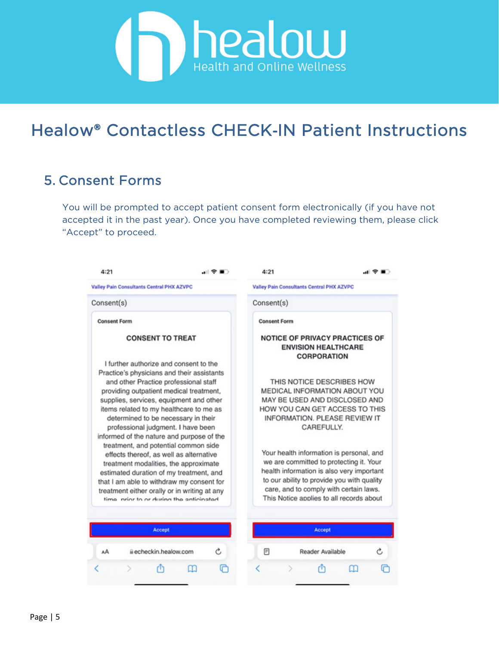

#### 5. Consent Forms

You will be prompted to accept patient consent form electronically (if you have not accepted it in the past year). Once you have completed reviewing them, please click "Accept" to proceed.

| 4:21                                                                                                                                                                                                                                                                                                                                                     | .⊪? ∎∋ | 4:21                                                                                                                                                                                                                                                                 |                                                                                                                                                                              | ÷ |  |  |
|----------------------------------------------------------------------------------------------------------------------------------------------------------------------------------------------------------------------------------------------------------------------------------------------------------------------------------------------------------|--------|----------------------------------------------------------------------------------------------------------------------------------------------------------------------------------------------------------------------------------------------------------------------|------------------------------------------------------------------------------------------------------------------------------------------------------------------------------|---|--|--|
| <b>Valley Pain Consultants Central PHX AZVPC</b>                                                                                                                                                                                                                                                                                                         |        |                                                                                                                                                                                                                                                                      | <b>Valley Pain Consultants Central PHX AZVPC</b>                                                                                                                             |   |  |  |
| Consent(s)                                                                                                                                                                                                                                                                                                                                               |        | Consent(s)                                                                                                                                                                                                                                                           |                                                                                                                                                                              |   |  |  |
| <b>Consent Form</b>                                                                                                                                                                                                                                                                                                                                      |        | <b>Consent Form</b>                                                                                                                                                                                                                                                  |                                                                                                                                                                              |   |  |  |
| <b>CONSENT TO TREAT</b><br>I further authorize and consent to the                                                                                                                                                                                                                                                                                        |        |                                                                                                                                                                                                                                                                      | <b>NOTICE OF PRIVACY PRACTICES OF</b><br><b>ENVISION HEALTHCARE</b><br><b>CORPORATION</b>                                                                                    |   |  |  |
| Practice's physicians and their assistants<br>and other Practice professional staff<br>providing outpatient medical treatment,<br>supplies, services, equipment and other<br>items related to my healthcare to me as<br>determined to be necessary in their<br>professional judgment. I have been                                                        |        |                                                                                                                                                                                                                                                                      | THIS NOTICE DESCRIBES HOW<br>MEDICAL INFORMATION ABOUT YOU<br>MAY BE USED AND DISCLOSED AND<br>HOW YOU CAN GET ACCESS TO THIS<br>INFORMATION. PLEASE REVIEW IT<br>CAREFULLY. |   |  |  |
| informed of the nature and purpose of the<br>treatment, and potential common side<br>effects thereof, as well as alternative<br>treatment modalities, the approximate<br>estimated duration of my treatment, and<br>that I am able to withdraw my consent for<br>treatment either orally or in writing at any<br>time prior to or during the anticipated |        | Your health information is personal, and<br>we are committed to protecting it. Your<br>health information is also very important<br>to our ability to provide you with quality<br>care, and to comply with certain laws.<br>This Notice applies to all records about |                                                                                                                                                                              |   |  |  |
|                                                                                                                                                                                                                                                                                                                                                          |        |                                                                                                                                                                                                                                                                      |                                                                                                                                                                              |   |  |  |
| Accept                                                                                                                                                                                                                                                                                                                                                   |        |                                                                                                                                                                                                                                                                      | Accept                                                                                                                                                                       |   |  |  |
| Becheckin, healow.com<br>АA                                                                                                                                                                                                                                                                                                                              | Ċ      | 冃                                                                                                                                                                                                                                                                    | Reader Available                                                                                                                                                             |   |  |  |
|                                                                                                                                                                                                                                                                                                                                                          |        |                                                                                                                                                                                                                                                                      |                                                                                                                                                                              |   |  |  |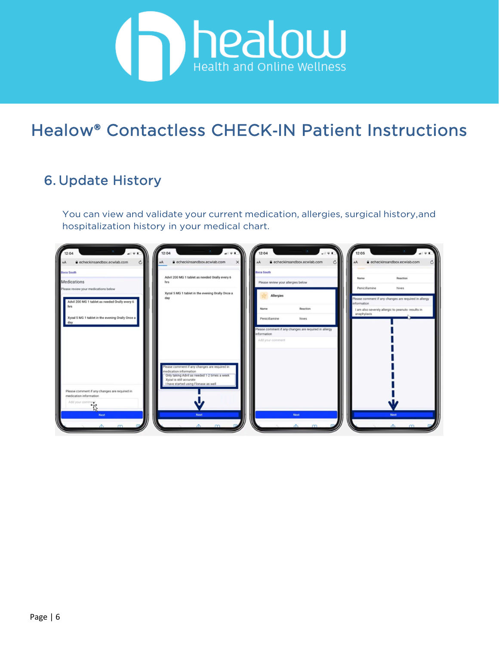

#### 6. Update History

You can view and validate your current medication, allergies, surgical history,and hospitalization history in your medical chart.

| 12:04                   |                                                         | 12:04<br>12:04                                                                                                          | 12:05                                                                                                                      |
|-------------------------|---------------------------------------------------------|-------------------------------------------------------------------------------------------------------------------------|----------------------------------------------------------------------------------------------------------------------------|
| AA<br><b>Boca South</b> | echeckinsandbox.ecwlab.com<br>$\mathcal{C}$             | echeckinsandbox.ecwlab.com<br>echeckinsandbox.ecwlab.com<br>AA<br><b>Boca South</b>                                     | echeckinsandbox.ecwlab.com<br>AA                                                                                           |
|                         | Medications<br>Please review your medications below     | Advil 200 MG 1 tablet as needed Orally every 6<br>hrs<br>Please review your allergies below                             | Name<br>Reaction<br>Penicillamine<br>hives                                                                                 |
|                         | Advil 200 MG 1 tablet as needed Orally every 6<br>hrs.  | Xyzal 5 MG 1 tablet in the evening Orally Once a<br>Allergies<br>day<br>Reaction<br>Name                                | Please comment if any changes are required in allergy<br>information<br>I am also severely allergic to peanuts- results in |
|                         | Xyzal 5 MG 1 tablet in the evening Orally Once a<br>day | hives<br>Penicillamine                                                                                                  | anaphylaxis                                                                                                                |
|                         |                                                         | Please comment if any changes are required in allergy<br>information<br>Add your comment                                |                                                                                                                            |
|                         |                                                         |                                                                                                                         |                                                                                                                            |
|                         |                                                         | Please comment if any changes are required in<br>nedication information<br>Only taking Advil as needed 1-2 times a week |                                                                                                                            |
|                         | Please comment if any changes are required in           | Xyzal is still accurate<br>I have started using Flonase as well                                                         |                                                                                                                            |
|                         | medication information<br>Add your comment<br>۱ž        |                                                                                                                         |                                                                                                                            |
|                         | <b>Next</b>                                             | Next <sub>1</sub><br><b>Next</b><br>m                                                                                   | Next <sup>1</sup><br>$\Delta$<br>m                                                                                         |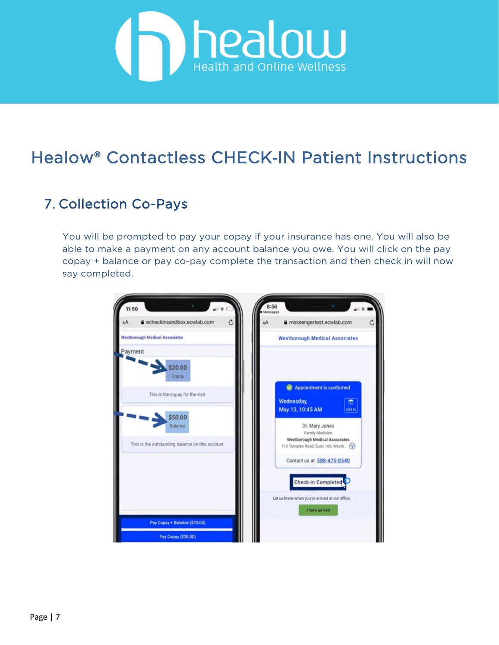

#### 7. Collection Co-Pays

You will be prompted to pay your copay if your insurance has one. You will also be able to make a payment on any account balance you owe. You will click on the pay copay + balance or pay co-pay complete the transaction and then check in will now say completed.